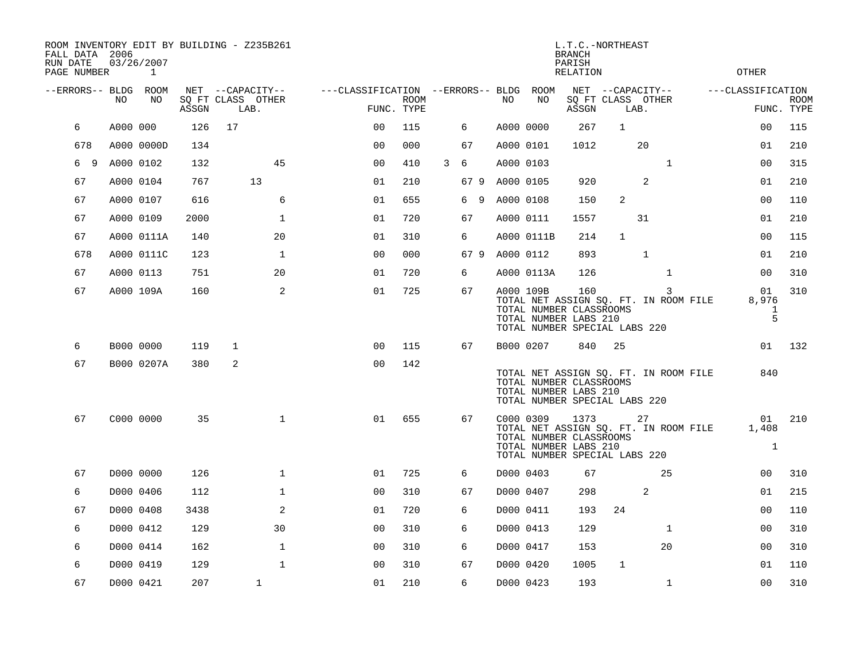| RUN DATE | FALL DATA 2006<br>PAGE NUMBER |           | 03/26/2007<br>1 |       | ROOM INVENTORY EDIT BY BUILDING - Z235B261 |                                   | L.T.C.-NORTHEAST<br><b>BRANCH</b><br>PARISH<br><b>OTHER</b><br>RELATION |                           |   |     |    |                |            |                                                                                                                                    |                   |              |              |                             |                           |
|----------|-------------------------------|-----------|-----------------|-------|--------------------------------------------|-----------------------------------|-------------------------------------------------------------------------|---------------------------|---|-----|----|----------------|------------|------------------------------------------------------------------------------------------------------------------------------------|-------------------|--------------|--------------|-----------------------------|---------------------------|
|          | --ERRORS-- BLDG ROOM          |           |                 |       | NET --CAPACITY--                           | ---CLASSIFICATION --ERRORS-- BLDG |                                                                         |                           |   |     |    |                | ROOM       |                                                                                                                                    | NET --CAPACITY--  |              |              | ---CLASSIFICATION           |                           |
|          |                               | NO.       | NO.             | ASSGN | SQ FT CLASS OTHER<br>LAB.                  |                                   |                                                                         | <b>ROOM</b><br>FUNC. TYPE |   |     |    | NO.            | NO         | ASSGN                                                                                                                              | SQ FT CLASS OTHER | LAB.         |              |                             | <b>ROOM</b><br>FUNC. TYPE |
|          | 6                             | A000 000  |                 | 126   | 17                                         |                                   | 0 <sub>0</sub>                                                          | 115                       |   | 6   |    | A000 0000      |            | 267                                                                                                                                | $\mathbf{1}$      |              |              | 0 <sub>0</sub>              | 115                       |
|          | 678                           |           | A000 0000D      | 134   |                                            |                                   | 0 <sub>0</sub>                                                          | 000                       |   | 67  |    | A000 0101      |            | 1012                                                                                                                               |                   | 20           |              | 01                          | 210                       |
|          | 6<br>9                        | A000 0102 |                 | 132   | 45                                         |                                   | 0 <sub>0</sub>                                                          | 410                       | 3 | 6   |    | A000 0103      |            |                                                                                                                                    |                   |              | $\mathbf{1}$ | 00                          | 315                       |
|          | 67                            | A000 0104 |                 | 767   | 13                                         |                                   | 01                                                                      | 210                       |   |     |    | 67 9 A000 0105 |            | 920                                                                                                                                |                   | 2            |              | 01                          | 210                       |
|          | 67                            | A000 0107 |                 | 616   | 6                                          |                                   | 01                                                                      | 655                       |   | 6   | -9 | A000 0108      |            | 150                                                                                                                                | 2                 |              |              | 0 <sub>0</sub>              | 110                       |
|          | 67                            | A000 0109 |                 | 2000  | $\mathbf{1}$                               |                                   | 01                                                                      | 720                       |   | 67  |    | A000 0111      |            | 1557                                                                                                                               |                   | 31           |              | 01                          | 210                       |
|          | 67                            |           | A000 0111A      | 140   | 20                                         |                                   | 01                                                                      | 310                       |   | 6   |    |                | A000 0111B | 214                                                                                                                                | $\mathbf{1}$      |              |              | 0 <sub>0</sub>              | 115                       |
|          | 678                           |           | A000 0111C      | 123   | $\mathbf 1$                                |                                   | 0 <sub>0</sub>                                                          | 000                       |   | 679 |    | A000 0112      |            | 893                                                                                                                                |                   | $\mathbf{1}$ |              | 01                          | 210                       |
|          | 67                            | A000 0113 |                 | 751   | 20                                         |                                   | 01                                                                      | 720                       |   | 6   |    |                | A000 0113A | 126                                                                                                                                |                   |              | $\mathbf{1}$ | 00                          | 310                       |
|          | 67                            | A000 109A |                 | 160   | 2                                          |                                   | 01                                                                      | 725                       |   | 67  |    | A000 109B      |            | 160<br>TOTAL NET ASSIGN SQ. FT. IN ROOM FILE<br>TOTAL NUMBER CLASSROOMS<br>TOTAL NUMBER LABS 210<br>TOTAL NUMBER SPECIAL LABS 220  |                   |              | 3            | 01<br>8,976<br>1<br>5       | 310                       |
|          | 6                             | B000 0000 |                 | 119   | 1                                          |                                   | 0 <sub>0</sub>                                                          | 115                       |   | 67  |    | B000 0207      |            | 840                                                                                                                                | 25                |              |              | 01                          | 132                       |
|          | 67                            |           | B000 0207A      | 380   | 2                                          |                                   | 0 <sub>0</sub>                                                          | 142                       |   |     |    |                |            | TOTAL NET ASSIGN SQ. FT. IN ROOM FILE<br>TOTAL NUMBER CLASSROOMS<br>TOTAL NUMBER LABS 210<br>TOTAL NUMBER SPECIAL LABS 220         |                   |              |              | 840                         |                           |
|          | 67                            | C000 0000 |                 | 35    | $\mathbf{1}$                               |                                   | 01                                                                      | 655                       |   | 67  |    | C000 0309      |            | 1373<br>TOTAL NET ASSIGN SQ. FT. IN ROOM FILE<br>TOTAL NUMBER CLASSROOMS<br>TOTAL NUMBER LABS 210<br>TOTAL NUMBER SPECIAL LABS 220 |                   | 27           |              | 01<br>1,408<br>$\mathbf{1}$ | 210                       |
|          | 67                            | D000 0000 |                 | 126   | $\mathbf{1}$                               |                                   | 01                                                                      | 725                       |   | 6   |    | D000 0403      |            | 67                                                                                                                                 |                   |              | 25           | 00                          | 310                       |
|          | 6                             | D000 0406 |                 | 112   | $\mathbf{1}$                               |                                   | 0 <sub>0</sub>                                                          | 310                       |   | 67  |    | D000 0407      |            | 298                                                                                                                                |                   | 2            |              | 01                          | 215                       |
|          | 67                            | D000 0408 |                 | 3438  | 2                                          |                                   | 01                                                                      | 720                       |   | 6   |    | D000 0411      |            | 193                                                                                                                                | 24                |              |              | 00                          | 110                       |
|          | 6                             | D000 0412 |                 | 129   | 30                                         |                                   | 0 <sub>0</sub>                                                          | 310                       |   | 6   |    | D000 0413      |            | 129                                                                                                                                |                   |              | $\mathbf{1}$ | 00                          | 310                       |
|          | 6                             | D000 0414 |                 | 162   | $\mathbf 1$                                |                                   | 0 <sub>0</sub>                                                          | 310                       |   | 6   |    | D000 0417      |            | 153                                                                                                                                |                   |              | 20           | 00                          | 310                       |
|          | 6                             | D000 0419 |                 | 129   | $\mathbf{1}$                               |                                   | 0 <sub>0</sub>                                                          | 310                       |   | 67  |    | D000 0420      |            | 1005                                                                                                                               | $\mathbf{1}$      |              |              | 01                          | 110                       |
|          | 67                            | D000 0421 |                 | 207   | $\mathbf{1}$                               |                                   | 01                                                                      | 210                       |   | 6   |    | D000 0423      |            | 193                                                                                                                                |                   |              | $\mathbf{1}$ | 00                          | 310                       |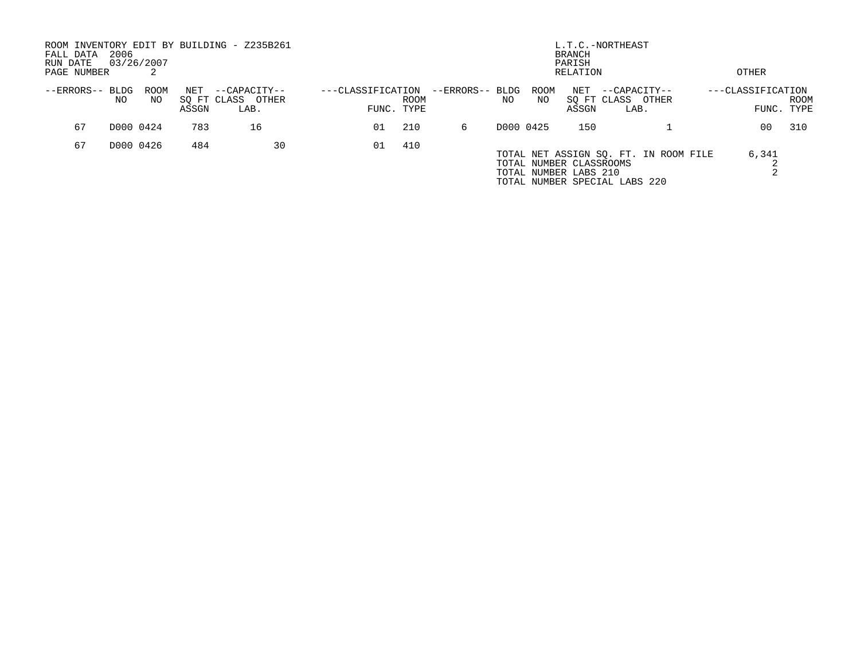| FALL DATA<br>RUN DATE<br>PAGE NUMBER | 2006        | 03/26/2007  |              | ROOM INVENTORY EDIT BY BUILDING - Z235B261 | L.T.C.-NORTHEAST<br><b>BRANCH</b><br>PARISH<br>OTHER<br>RELATION |                           |                 |     |                   |                                                  |                                                                        |                            |                     |
|--------------------------------------|-------------|-------------|--------------|--------------------------------------------|------------------------------------------------------------------|---------------------------|-----------------|-----|-------------------|--------------------------------------------------|------------------------------------------------------------------------|----------------------------|---------------------|
| --ERRORS--                           | BLDG<br>NO. | ROOM<br>NO. | NET<br>ASSGN | --CAPACITY--<br>SO FT CLASS OTHER<br>LAB.  | ---CLASSIFICATION                                                | <b>ROOM</b><br>FUNC. TYPE | --ERRORS-- BLDG | NO. | <b>ROOM</b><br>NO | NET<br>ASSGN                                     | --CAPACITY--<br>SO FT CLASS OTHER<br>LAB.                              | ---CLASSIFICATION<br>FUNC. | <b>ROOM</b><br>TYPE |
| 67                                   |             | D000 0424   | 783          | 16                                         | 01                                                               | 210                       | б.              |     | D000 0425         | 150                                              |                                                                        | 00                         | 310                 |
| 67                                   |             | D000 0426   | 484          | 30                                         | 01                                                               | 410                       |                 |     |                   | TOTAL NUMBER CLASSROOMS<br>TOTAL NUMBER LABS 210 | TOTAL NET ASSIGN SQ. FT. IN ROOM FILE<br>TOTAL NUMBER SPECIAL LABS 220 | 6,341                      |                     |